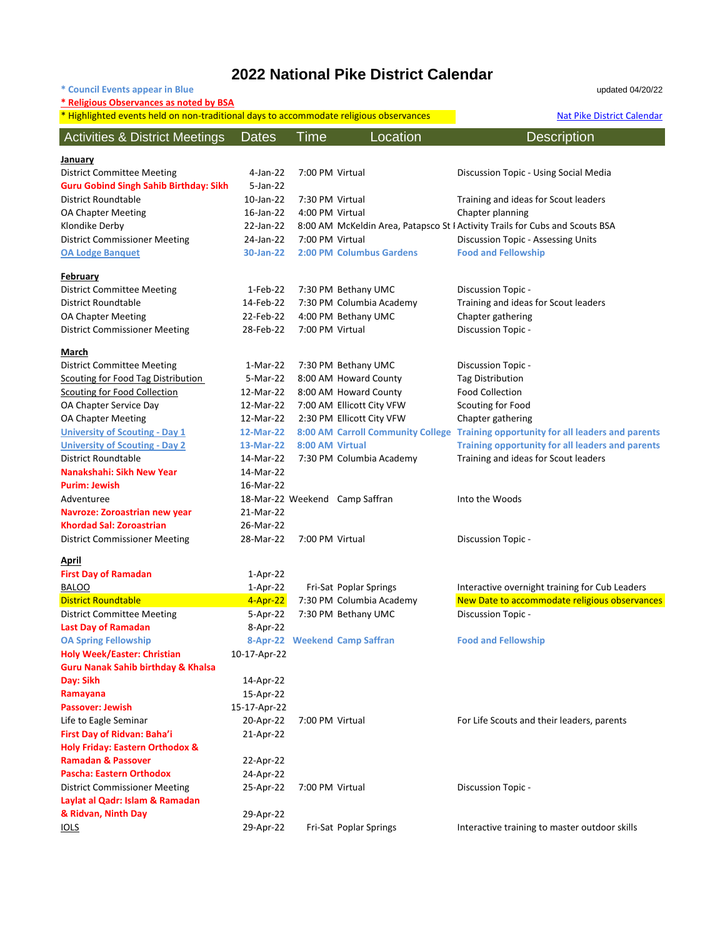# **2022 National Pike District Calendar**

**\* Council Events appear in Blue** updated 04/20/22

| * Religious Observances as noted by BSA<br>* Highlighted events held on non-traditional days to accommodate religious observances |              |                 |                                | <b>Nat Pike District Calendar</b>                                                  |
|-----------------------------------------------------------------------------------------------------------------------------------|--------------|-----------------|--------------------------------|------------------------------------------------------------------------------------|
| <b>Activities &amp; District Meetings</b>                                                                                         | <b>Dates</b> | Time            | Location                       | <b>Description</b>                                                                 |
| <u>January</u>                                                                                                                    |              |                 |                                |                                                                                    |
| <b>District Committee Meeting</b>                                                                                                 | 4-Jan-22     | 7:00 PM Virtual |                                | Discussion Topic - Using Social Media                                              |
| <b>Guru Gobind Singh Sahib Birthday: Sikh</b>                                                                                     | $5$ -Jan-22  |                 |                                |                                                                                    |
| District Roundtable                                                                                                               | 10-Jan-22    | 7:30 PM Virtual |                                | Training and ideas for Scout leaders                                               |
| <b>OA Chapter Meeting</b>                                                                                                         | 16-Jan-22    | 4:00 PM Virtual |                                | Chapter planning                                                                   |
| Klondike Derby                                                                                                                    | 22-Jan-22    |                 |                                | 8:00 AM McKeldin Area, Patapsco St I Activity Trails for Cubs and Scouts BSA       |
| <b>District Commissioner Meeting</b>                                                                                              | 24-Jan-22    | 7:00 PM Virtual |                                | Discussion Topic - Assessing Units                                                 |
| <b>OA Lodge Banquet</b>                                                                                                           | 30-Jan-22    |                 | 2:00 PM Columbus Gardens       | <b>Food and Fellowship</b>                                                         |
| <b>February</b>                                                                                                                   |              |                 |                                |                                                                                    |
| <b>District Committee Meeting</b>                                                                                                 | 1-Feb-22     |                 | 7:30 PM Bethany UMC            | Discussion Topic -                                                                 |
| District Roundtable                                                                                                               | 14-Feb-22    |                 | 7:30 PM Columbia Academy       | Training and ideas for Scout leaders                                               |
| <b>OA Chapter Meeting</b>                                                                                                         | 22-Feb-22    |                 | 4:00 PM Bethany UMC            | Chapter gathering                                                                  |
| <b>District Commissioner Meeting</b>                                                                                              | 28-Feb-22    | 7:00 PM Virtual |                                | Discussion Topic -                                                                 |
| <u>March</u>                                                                                                                      |              |                 |                                |                                                                                    |
| <b>District Committee Meeting</b>                                                                                                 | 1-Mar-22     |                 | 7:30 PM Bethany UMC            | Discussion Topic -                                                                 |
| <b>Scouting for Food Tag Distribution</b>                                                                                         | 5-Mar-22     |                 | 8:00 AM Howard County          | <b>Tag Distribution</b>                                                            |
| Scouting for Food Collection                                                                                                      | 12-Mar-22    |                 | 8:00 AM Howard County          | <b>Food Collection</b>                                                             |
| OA Chapter Service Day                                                                                                            | 12-Mar-22    |                 | 7:00 AM Ellicott City VFW      | Scouting for Food                                                                  |
| <b>OA Chapter Meeting</b>                                                                                                         | 12-Mar-22    |                 | 2:30 PM Ellicott City VFW      | Chapter gathering                                                                  |
| <b>University of Scouting - Day 1</b>                                                                                             | 12-Mar-22    |                 |                                | 8:00 AM Carroll Community College Training opportunity for all leaders and parents |
| <b>University of Scouting - Day 2</b>                                                                                             | 13-Mar-22    | 8:00 AM Virtual |                                | Training opportunity for all leaders and parents                                   |
| <b>District Roundtable</b>                                                                                                        | 14-Mar-22    |                 | 7:30 PM Columbia Academy       | Training and ideas for Scout leaders                                               |
| Nanakshahi: Sikh New Year                                                                                                         | 14-Mar-22    |                 |                                |                                                                                    |
| <b>Purim: Jewish</b>                                                                                                              | 16-Mar-22    |                 |                                |                                                                                    |
| Adventuree                                                                                                                        |              |                 | 18-Mar-22 Weekend Camp Saffran | Into the Woods                                                                     |
| Navroze: Zoroastrian new year                                                                                                     | 21-Mar-22    |                 |                                |                                                                                    |
| <b>Khordad Sal: Zoroastrian</b>                                                                                                   | 26-Mar-22    |                 |                                |                                                                                    |
| <b>District Commissioner Meeting</b>                                                                                              | 28-Mar-22    | 7:00 PM Virtual |                                | Discussion Topic -                                                                 |
| <u>April</u>                                                                                                                      |              |                 |                                |                                                                                    |
| <b>First Day of Ramadan</b>                                                                                                       | $1-Apr-22$   |                 |                                |                                                                                    |
| <b>BALOO</b>                                                                                                                      | $1-Apr-22$   |                 | Fri-Sat Poplar Springs         | Interactive overnight training for Cub Leaders                                     |
| <b>District Roundtable</b>                                                                                                        | $4 - Apr-22$ |                 | 7:30 PM Columbia Academy       | New Date to accommodate religious observances                                      |
| <b>District Committee Meeting</b>                                                                                                 | 5-Apr-22     |                 | 7:30 PM Bethany UMC            | Discussion Topic -                                                                 |
| <b>Last Day of Ramadan</b>                                                                                                        | 8-Apr-22     |                 |                                |                                                                                    |
| <b>OA Spring Fellowship</b>                                                                                                       |              |                 | 8-Apr-22 Weekend Camp Saffran  | <b>Food and Fellowship</b>                                                         |
| <b>Holy Week/Easter: Christian</b>                                                                                                | 10-17-Apr-22 |                 |                                |                                                                                    |
| <b>Guru Nanak Sahib birthday &amp; Khalsa</b>                                                                                     |              |                 |                                |                                                                                    |
| Day: Sikh                                                                                                                         | 14-Apr-22    |                 |                                |                                                                                    |
| Ramayana                                                                                                                          | 15-Apr-22    |                 |                                |                                                                                    |
| <b>Passover: Jewish</b>                                                                                                           | 15-17-Apr-22 |                 |                                |                                                                                    |
| Life to Eagle Seminar                                                                                                             | 20-Apr-22    | 7:00 PM Virtual |                                | For Life Scouts and their leaders, parents                                         |
| First Day of Ridvan: Baha'i                                                                                                       | 21-Apr-22    |                 |                                |                                                                                    |
| Holy Friday: Eastern Orthodox &                                                                                                   |              |                 |                                |                                                                                    |
| <b>Ramadan &amp; Passover</b>                                                                                                     | 22-Apr-22    |                 |                                |                                                                                    |
| <b>Pascha: Eastern Orthodox</b>                                                                                                   | 24-Apr-22    |                 |                                |                                                                                    |
| <b>District Commissioner Meeting</b>                                                                                              | 25-Apr-22    | 7:00 PM Virtual |                                | <b>Discussion Topic -</b>                                                          |
| Laylat al Qadr: Islam & Ramadan                                                                                                   |              |                 |                                |                                                                                    |
| & Ridvan, Ninth Day                                                                                                               | 29-Apr-22    |                 |                                |                                                                                    |
| <b>IOLS</b>                                                                                                                       | 29-Apr-22    |                 | Fri-Sat Poplar Springs         | Interactive training to master outdoor skills                                      |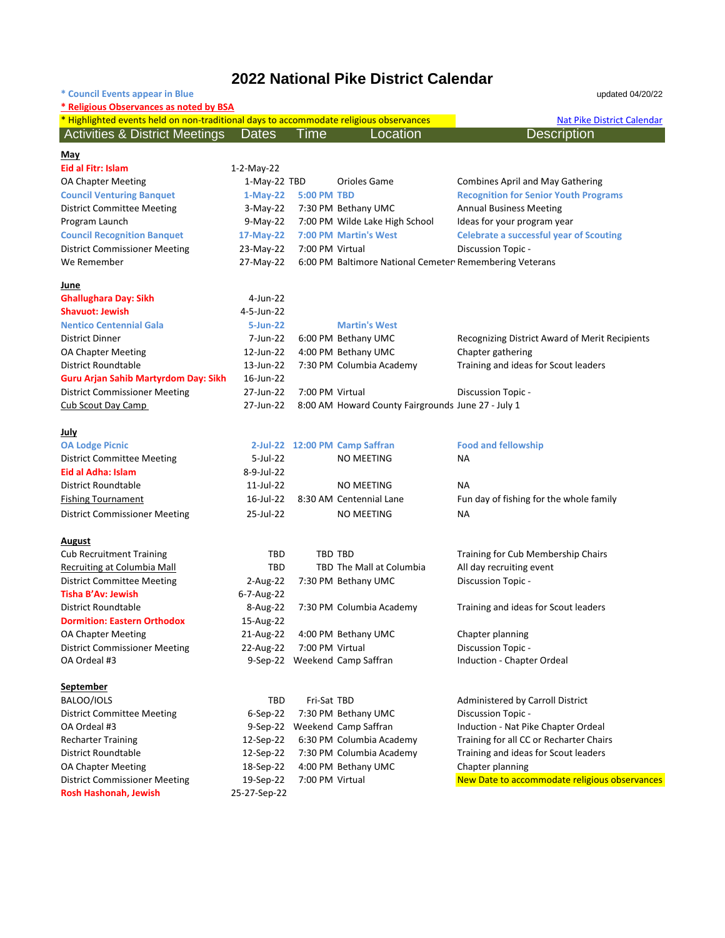### **2022 National Pike District Calendar**

| * Council Events appear in Blue                                                        |              |                    |                                                         | updated 04/20/22                               |  |
|----------------------------------------------------------------------------------------|--------------|--------------------|---------------------------------------------------------|------------------------------------------------|--|
| * Religious Observances as noted by BSA                                                |              |                    |                                                         |                                                |  |
| * Highlighted events held on non-traditional days to accommodate religious observances |              |                    |                                                         | <b>Nat Pike District Calendar</b>              |  |
| <b>Activities &amp; District Meetings</b>                                              | <b>Dates</b> | ⊺ime               | Location                                                | <b>Description</b>                             |  |
| May                                                                                    |              |                    |                                                         |                                                |  |
| Eid al Fitr: Islam                                                                     | 1-2-May-22   |                    |                                                         |                                                |  |
| <b>OA Chapter Meeting</b>                                                              | 1-May-22 TBD |                    | Orioles Game                                            | <b>Combines April and May Gathering</b>        |  |
| <b>Council Venturing Banquet</b>                                                       | $1-May-22$   | <b>5:00 PM TBD</b> |                                                         | <b>Recognition for Senior Youth Programs</b>   |  |
| <b>District Committee Meeting</b>                                                      | $3-Mav-22$   |                    | 7:30 PM Bethany UMC                                     | <b>Annual Business Meeting</b>                 |  |
| Program Launch                                                                         | $9-Mav-22$   |                    | 7:00 PM Wilde Lake High School                          | Ideas for your program year                    |  |
| <b>Council Recognition Banquet</b>                                                     | 17-May-22    |                    | 7:00 PM Martin's West                                   | <b>Celebrate a successful year of Scouting</b> |  |
| <b>District Commissioner Meeting</b>                                                   | 23-May-22    | 7:00 PM Virtual    |                                                         | <b>Discussion Topic -</b>                      |  |
| We Remember                                                                            | 27-May-22    |                    | 6:00 PM Baltimore National Cemeter Remembering Veterans |                                                |  |
| June                                                                                   |              |                    |                                                         |                                                |  |
| <b>Ghallughara Day: Sikh</b>                                                           | $4$ -Jun-22  |                    |                                                         |                                                |  |

| <b>Shavuot: Jewish</b>                      | 4-5-Jun-22 |                                                    |                                                |
|---------------------------------------------|------------|----------------------------------------------------|------------------------------------------------|
| <b>Nentico Centennial Gala</b>              | 5-Jun-22   | <b>Martin's West</b>                               |                                                |
| <b>District Dinner</b>                      | 7-Jun-22   | 6:00 PM Bethany UMC                                | Recognizing District Award of Merit Recipients |
| <b>OA Chapter Meeting</b>                   | 12-Jun-22  | 4:00 PM Bethany UMC                                | Chapter gathering                              |
| District Roundtable                         | 13-Jun-22  | 7:30 PM Columbia Academy                           | Training and ideas for Scout leaders           |
| <b>Guru Arjan Sahib Martyrdom Day: Sikh</b> | 16-Jun-22  |                                                    |                                                |
| <b>District Commissioner Meeting</b>        | 27-Jun-22  | 7:00 PM Virtual                                    | Discussion Topic -                             |
| Cub Scout Day Camp                          | 27-Jun-22  | 8:00 AM Howard County Fairgrounds June 27 - July 1 |                                                |

### **July**

| <b>OA Lodge Picnic</b>               |              | 2-Jul-22 12:00 PM Camp Saffran | <b>Food and fellowship</b>              |
|--------------------------------------|--------------|--------------------------------|-----------------------------------------|
| <b>District Committee Meeting</b>    | $5$ -Jul-22  | NO MEETING                     | NA                                      |
| Eid al Adha: Islam                   | 8-9-Jul-22   |                                |                                         |
| District Roundtable                  | $11$ -Jul-22 | NO MEETING                     | NA                                      |
| <b>Fishing Tournament</b>            | 16-Jul-22    | 8:30 AM Centennial Lane        | Fun day of fishing for the whole family |
| <b>District Commissioner Meeting</b> | 25-Jul-22    | NO MEETING                     | ΝA                                      |

#### **August**

| <b>Cub Recruitment Training</b>      | <b>TBD</b>     | TBD TBD                  | Training for Cub Membership Chairs   |
|--------------------------------------|----------------|--------------------------|--------------------------------------|
| Recruiting at Columbia Mall          | TBD.           | TBD The Mall at Columbia | All day recruiting event             |
| <b>District Committee Meeting</b>    | 2-Aug-22       | 7:30 PM Bethany UMC      | Discussion Topic -                   |
| Tisha B'Ay: Jewish                   | 6-7-Aug-22     |                          |                                      |
| <b>District Roundtable</b>           | 8-Aug-22       | 7:30 PM Columbia Academy | Training and ideas for Scout leaders |
| <b>Dormition: Eastern Orthodox</b>   | 15-Aug-22      |                          |                                      |
| <b>OA Chapter Meeting</b>            | 21-Aug-22      | 4:00 PM Bethany UMC      | Chapter planning                     |
| <b>District Commissioner Meeting</b> | 22-Aug-22      | 7:00 PM Virtual          | Discussion Topic -                   |
| OA Ordeal #3                         | $9-$ Sep $-22$ | Weekend Camp Saffran     | Induction - Chapter Ordeal           |
| September                            |                |                          |                                      |

### BALOO/IOLS **TBD** Fri-Sat TBD **Fri-Sat TBD** Administered by Carroll District District Committee Meeting 6-Sep-22 7:30 PM Bethany UMC Discussion Topic -OA Ordeal #3 9-Sep-22 Weekend Camp Saffran Induction - Nat Pike Chapter Ordeal Recharter Training 12-Sep-22 6:30 PM Columbia Academy Training for all CC or Recharter Chairs District Roundtable 12-Sep-22 7:30 PM Columbia Academy Training and ideas for Scout leaders OA Chapter Meeting 18-Sep-22 4:00 PM Bethany UMC Chapter planning

**Rosh Hashonah, Jewish** 25-27-Sep-22

District Commissioner Meeting 19-Sep-22 7:00 PM Virtual New Date to accommodate religious observances